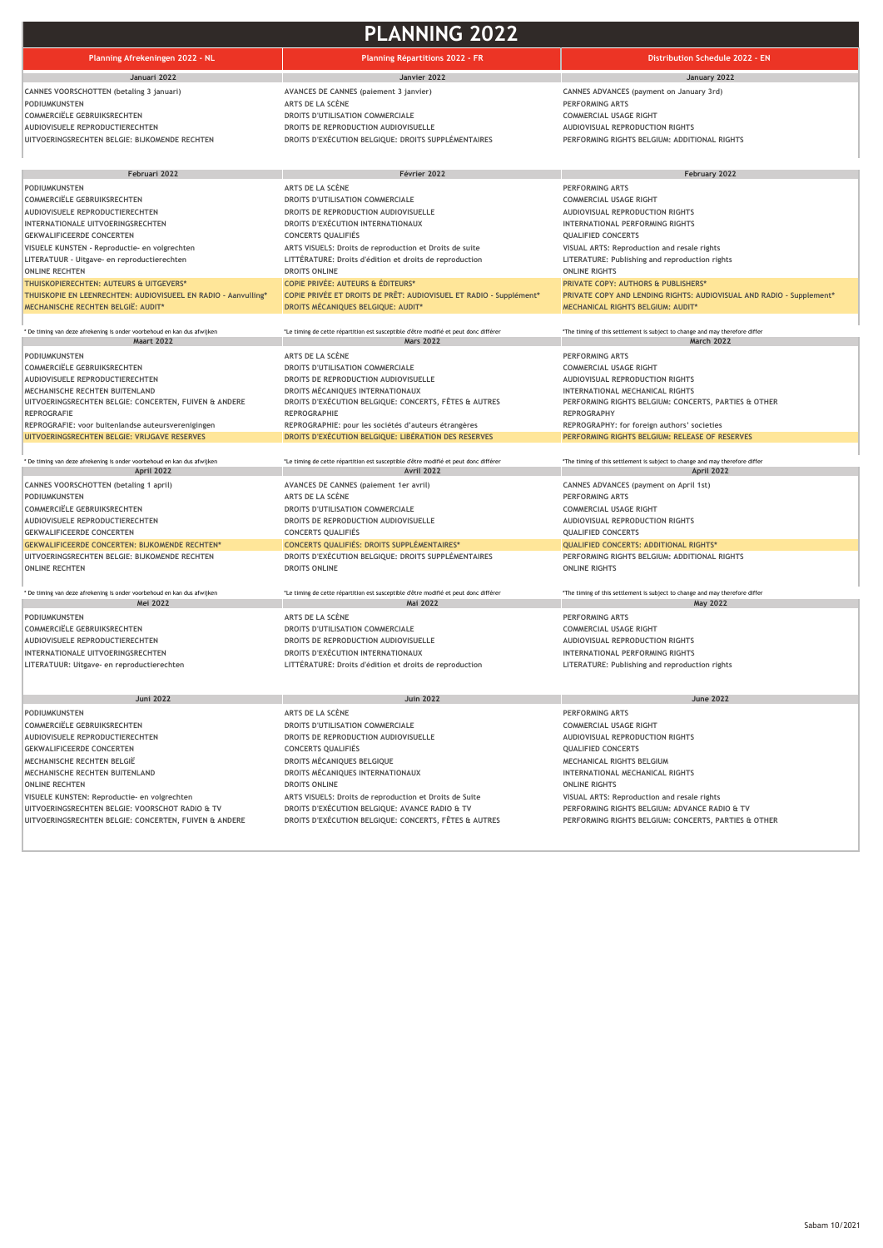| <b>PLANNING 2022</b>                                                                         |                                                                                                           |                                                                                                   |
|----------------------------------------------------------------------------------------------|-----------------------------------------------------------------------------------------------------------|---------------------------------------------------------------------------------------------------|
| Planning Afrekeningen 2022 - NL                                                              | Planning Répartitions 2022 - FR                                                                           | <b>Distribution Schedule 2022 - EN</b>                                                            |
| Januari 2022                                                                                 | Janvier 2022                                                                                              | January 2022                                                                                      |
| CANNES VOORSCHOTTEN (betaling 3 januari)                                                     | <b>AVANCES DE CANNES (paiement 3 janvier)</b>                                                             | CANNES ADVANCES (payment on January 3rd)                                                          |
| <b>PODIUMKUNSTEN</b>                                                                         | ARTS DE LA SCÈNE                                                                                          | <b>PERFORMING ARTS</b>                                                                            |
| COMMERCIËLE GEBRUIKSRECHTEN                                                                  | DROITS D'UTILISATION COMMERCIALE                                                                          | <b>COMMERCIAL USAGE RIGHT</b>                                                                     |
| AUDIOVISUELE REPRODUCTIERECHTEN                                                              | DROITS DE REPRODUCTION AUDIOVISUELLE                                                                      | AUDIOVISUAL REPRODUCTION RIGHTS                                                                   |
| UITVOERINGSRECHTEN BELGIE; BIJKOMENDE RECHTEN                                                | DROITS D'EXÉCUTION BELGIQUE: DROITS SUPPLÉMENTAIRES                                                       | PERFORMING RIGHTS BELGIUM; ADDITIONAL RIGHTS                                                      |
|                                                                                              |                                                                                                           |                                                                                                   |
| Februari 2022                                                                                | Février 2022                                                                                              | February 2022                                                                                     |
| PODIUMKUNSTEN                                                                                | ARTS DE LA SCÈNE                                                                                          | <b>PERFORMING ARTS</b>                                                                            |
| <b>COMMERCIËLE GEBRUIKSRECHTEN</b>                                                           | DROITS D'UTILISATION COMMERCIALE                                                                          | <b>COMMERCIAL USAGE RIGHT</b>                                                                     |
| AUDIOVISUELE REPRODUCTIERECHTEN                                                              | DROITS DE REPRODUCTION AUDIOVISUELLE                                                                      | AUDIOVISUAL REPRODUCTION RIGHTS                                                                   |
| INTERNATIONALE UITVOERINGSRECHTEN                                                            | DROITS D'EXÉCUTION INTERNATIONAUX                                                                         | INTERNATIONAL PERFORMING RIGHTS                                                                   |
| <b>GEKWALIFICEERDE CONCERTEN</b>                                                             | <b>CONCERTS QUALIFIÉS</b>                                                                                 | <b>QUALIFIED CONCERTS</b>                                                                         |
| VISUELE KUNSTEN - Reproductie- en volgrechten                                                | ARTS VISUELS: Droits de reproduction et Droits de suite                                                   | VISUAL ARTS: Reproduction and resale rights                                                       |
| LITERATUUR - Uitgave- en reproductierechten                                                  | LITTÉRATURE: Droits d'édition et droits de reproduction                                                   | LITERATURE: Publishing and reproduction rights                                                    |
| <b>ONLINE RECHTEN</b>                                                                        | <b>DROITS ONLINE</b>                                                                                      | <b>ONLINE RIGHTS</b>                                                                              |
| THUISKOPIERECHTEN: AUTEURS & UITGEVERS*                                                      | <b>COPIE PRIVÉE: AUTEURS &amp; ÉDITEURS*</b>                                                              | PRIVATE COPY: AUTHORS & PUBLISHERS*                                                               |
| THUISKOPIE EN LEENRECHTEN: AUDIOVISUEEL EN RADIO - Aanvulling*                               | COPIE PRIVÉE ET DROITS DE PRÊT: AUDIOVISUEL ET RADIO - Supplément*                                        | PRIVATE COPY AND LENDING RIGHTS: AUDIOVISUAL AND RADIO - Supplement*                              |
| <b>MECHANISCHE RECHTEN BELGIË: AUDIT*</b>                                                    | DROITS MÉCANIQUES BELGIQUE: AUDIT*                                                                        | MECHANICAL RIGHTS BELGIUM: AUDIT*                                                                 |
|                                                                                              |                                                                                                           |                                                                                                   |
| * De timing van deze afrekening is onder voorbehoud en kan dus afwijken<br><b>Maart 2022</b> | *Le timing de cette répartition est susceptible d'être modifié et peut donc différer<br><b>Mars 2022</b>  | *The timing of this settlement is subject to change and may therefore differ<br><b>March 2022</b> |
| <b>PODIUMKUNSTEN</b>                                                                         | ARTS DE LA SCÈNE                                                                                          | <b>PERFORMING ARTS</b>                                                                            |
| <b>COMMERCIËLE GEBRUIKSRECHTEN</b>                                                           | DROITS D'UTILISATION COMMERCIALE                                                                          | <b>COMMERCIAL USAGE RIGHT</b>                                                                     |
| AUDIOVISUELE REPRODUCTIERECHTEN                                                              | DROITS DE REPRODUCTION AUDIOVISUELLE                                                                      | AUDIOVISUAL REPRODUCTION RIGHTS                                                                   |
| MECHANISCHE RECHTEN BUITENLAND                                                               | DROITS MÉCANIQUES INTERNATIONAUX                                                                          | INTERNATIONAL MECHANICAL RIGHTS                                                                   |
| UITVOERINGSRECHTEN BELGIE: CONCERTEN, FUIVEN & ANDERE                                        | DROITS D'EXÉCUTION BELGIQUE: CONCERTS, FÊTES & AUTRES                                                     | PERFORMING RIGHTS BELGIUM: CONCERTS, PARTIES & OTHER                                              |
| <b>REPROGRAFIE</b>                                                                           | <b>REPROGRAPHIE</b>                                                                                       | <b>REPROGRAPHY</b>                                                                                |
| REPROGRAFIE: voor buitenlandse auteursverenigingen                                           | REPROGRAPHIE: pour les sociétés d'auteurs étrangères                                                      | REPROGRAPHY: for foreign authors' societies                                                       |
| UITVOERINGSRECHTEN BELGIE: VRIJGAVE RESERVES                                                 | DROITS D'EXÉCUTION BELGIQUE: LIBÉRATION DES RESERVES                                                      | PERFORMING RIGHTS BELGIUM: RELEASE OF RESERVES                                                    |
|                                                                                              |                                                                                                           |                                                                                                   |
| * De timing van deze afrekening is onder voorbehoud en kan dus afwijken<br>April 2022        | *Le timing de cette répartition est susceptible d'être modifié et peut donc différer<br><b>Avril 2022</b> | *The timing of this settlement is subject to change and may therefore differ<br>April 2022        |
| CANNES VOORSCHOTTEN (betaling 1 april)                                                       | AVANCES DE CANNES (paiement 1er avril)                                                                    | CANNES ADVANCES (payment on April 1st)                                                            |
| PODIUMKUNSTEN                                                                                | ARTS DE LA SCÈNE                                                                                          | <b>PERFORMING ARTS</b>                                                                            |
| COMMERCIËLE GEBRUIKSRECHTEN                                                                  | DROITS D'UTILISATION COMMERCIALE                                                                          | <b>COMMERCIAL USAGE RIGHT</b>                                                                     |
| AUDIOVISUELE REPRODUCTIERECHTEN                                                              | DROITS DE REPRODUCTION AUDIOVISUELLE                                                                      | AUDIOVISUAL REPRODUCTION RIGHTS                                                                   |
| <b>GEKWALIFICEERDE CONCERTEN</b>                                                             | <b>CONCERTS QUALIFIÉS</b>                                                                                 | <b>QUALIFIED CONCERTS</b>                                                                         |
| <b>GEKWALIFICEERDE CONCERTEN: BIJKOMENDE RECHTEN*</b>                                        | <b>CONCERTS QUALIFIÉS: DROITS SUPPLÉMENTAIRES*</b>                                                        | <b>QUALIFIED CONCERTS: ADDITIONAL RIGHTS*</b>                                                     |
| UITVOERINGSRECHTEN BELGIE: BIJKOMENDE RECHTEN                                                | DROITS D'EXÉCUTION BELGIQUE: DROITS SUPPLÉMENTAIRES                                                       | PERFORMING RIGHTS BELGIUM: ADDITIONAL RIGHTS                                                      |
| <b>ONLINE RECHTEN</b>                                                                        | <b>DROITS ONLINE</b>                                                                                      | <b>ONLINE RIGHTS</b>                                                                              |
|                                                                                              |                                                                                                           |                                                                                                   |
| * De timing van deze afrekening is onder voorbehoud en kan dus afwijken<br>Mei 2022          | *Le timing de cette répartition est susceptible d'être modifié et peut donc différer<br><b>Mai 2022</b>   | *The timing of this settlement is subject to change and may therefore differ<br><b>May 2022</b>   |
| PODIUMKUNSTEN                                                                                | ARTS DE LA SCÈNE                                                                                          | <b>PERFORMING ARTS</b>                                                                            |
| COMMERCIËLE GEBRUIKSRECHTEN                                                                  | DROITS D'UTILISATION COMMERCIALE                                                                          | <b>COMMERCIAL USAGE RIGHT</b>                                                                     |
| AUDIOVISUELE REPRODUCTIERECHTEN                                                              | DROITS DE REPRODUCTION AUDIOVISUELLE                                                                      | AUDIOVISUAL REPRODUCTION RIGHTS                                                                   |
| INTERNATIONALE UITVOERINGSRECHTEN                                                            | DROITS D'EXÉCUTION INTERNATIONAUX                                                                         | INTERNATIONAL PERFORMING RIGHTS                                                                   |
| LITERATUUR: Uitgave- en reproductierechten                                                   | LITTÉRATURE: Droits d'édition et droits de reproduction                                                   | LITERATURE: Publishing and reproduction rights                                                    |
|                                                                                              |                                                                                                           |                                                                                                   |
| <b>Juni 2022</b>                                                                             | <b>Juin 2022</b>                                                                                          | <b>June 2022</b>                                                                                  |
|                                                                                              |                                                                                                           |                                                                                                   |
| PODIUMKUNSTEN                                                                                | ARTS DE LA SCÈNE                                                                                          | <b>PERFORMING ARTS</b>                                                                            |
| <b>COMMERCIËLE GEBRUIKSRECHTEN</b>                                                           | DROITS D'UTILISATION COMMERCIALE                                                                          | <b>COMMERCIAL USAGE RIGHT</b>                                                                     |
| AUDIOVISUELE REPRODUCTIERECHTEN                                                              | DROITS DE REPRODUCTION AUDIOVISUELLE                                                                      | AUDIOVISUAL REPRODUCTION RIGHTS                                                                   |
| <b>GEKWALIFICEERDE CONCERTEN</b>                                                             | <b>CONCERTS QUALIFIÉS</b>                                                                                 | <b>QUALIFIED CONCERTS</b>                                                                         |
| MECHANISCHE RECHTEN BELGIË                                                                   | DROITS MÉCANIQUES BELGIQUE                                                                                | MECHANICAL RIGHTS BELGIUM                                                                         |
| MECHANISCHE RECHTEN BUITENLAND                                                               | DROITS MÉCANIQUES INTERNATIONAUX                                                                          | INTERNATIONAL MECHANICAL RIGHTS                                                                   |
| <b>ONLINE RECHTEN</b>                                                                        | <b>DROITS ONLINE</b>                                                                                      | <b>ONLINE RIGHTS</b>                                                                              |
| VISUELE KUNSTEN: Reproductie- en volgrechten                                                 | ARTS VISUELS: Droits de reproduction et Droits de Suite                                                   | VISUAL ARTS: Reproduction and resale rights                                                       |
| UITVOERINGSRECHTEN BELGIE: VOORSCHOT RADIO & TV                                              | DROITS D'EXÉCUTION BELGIQUE: AVANCE RADIO & TV                                                            | PERFORMING RIGHTS BELGIUM: ADVANCE RADIO & TV                                                     |
| UITVOERINGSRECHTEN BELGIE: CONCERTEN, FUIVEN & ANDERE                                        | DROITS D'EXÉCUTION BELGIQUE: CONCERTS, FÊTES & AUTRES                                                     | PERFORMING RIGHTS BELGIUM; CONCERTS, PARTIES & OTHER                                              |